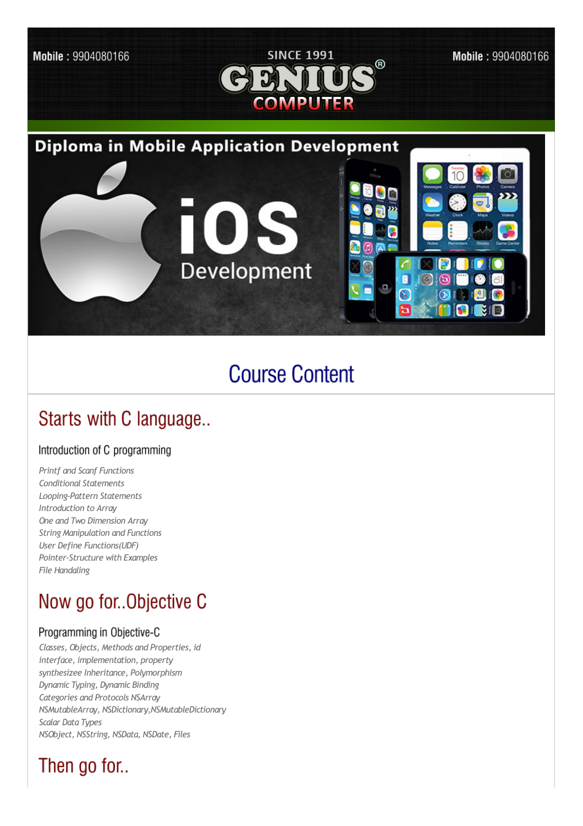

## **Course Content**

### Starts with C language..

#### Introduction of C programming

*Printf and Scanf Functions Conditional Statements Looping-Pattern Statements Introduction to Array One and Two Dimension Array String Manipulation and Functions User Define Functions(UDF) Pointer-Structure with Examples File Handaling*

### Now go for. Objective C

#### Programming in Objective-C

*Classes, Objects, Methods and Properties, id interface, implementation, property synthesizee Inheritance, Polymorphism Dynamic Typing, Dynamic Binding Categories and Protocols NSArray NSMutableArray, NSDictionary,NSMutableDictionary Scalar Data Types NSObject, NSString, NSData, NSDate, Files*

### Then go for..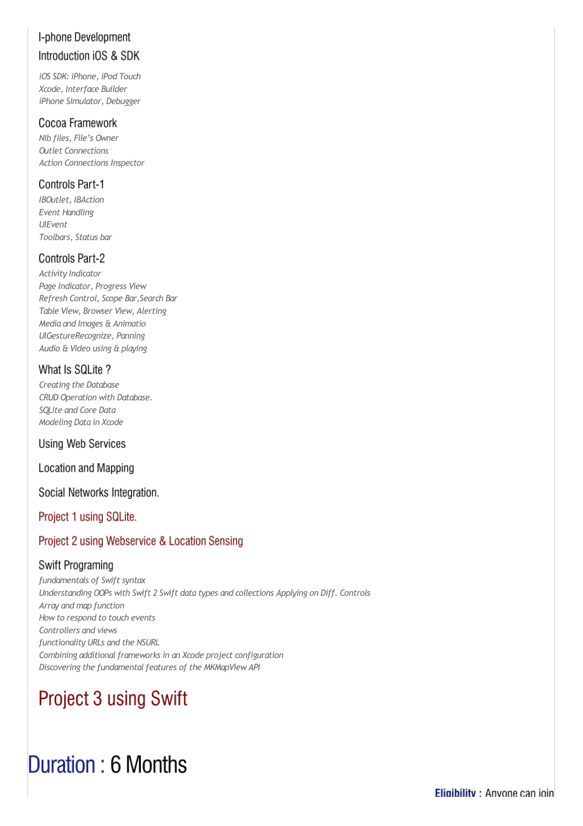### I-phone Development Introduction iOS & SDK

*iOS SDK: iPhone, iPod Touch Xcode, Interface Builder iPhone Simulator, Debugger*

#### Cocoa Framework

*Nib files, File's Owner Outlet Connections Action Connections Inspector*

#### **Controls Part-1**

*IBOutlet, IBAction Event Handling UIEvent Toolbars, Status bar*

#### **Controls Part-2**

*Activity Indicator Page Indicator, Progress View Refresh Control, Scope Bar,Search Bar Table View, Browser View, Alerting Media and Images & Animatio UIGestureRecognize, Panning Audio & Video using & playing*

#### What Is SQLite?

*Creating the Database CRUD Operation with Database. SQLite and Core Data Modeling Data in Xcode*

#### **Using Web Services**

**Location and Mapping** 

#### Social Networks Integration.

Project 1 using SQLite.

#### Project 2 using Webservice & Location Sensing

#### Swift Programing

*fundamentals of Swift syntax Understanding OOPs with Swift 2 Swift data types and collections Applying on Diff. Controls Array and map function Howto respond to touch events Controllers and views functionality URLs and the NSURL Combining additionalframeworks in an Xcode project configuration Discovering the fundamentalfeatures of the MKMapViewAPI*

## Project 3 using Swift

# Duration: 6 Months